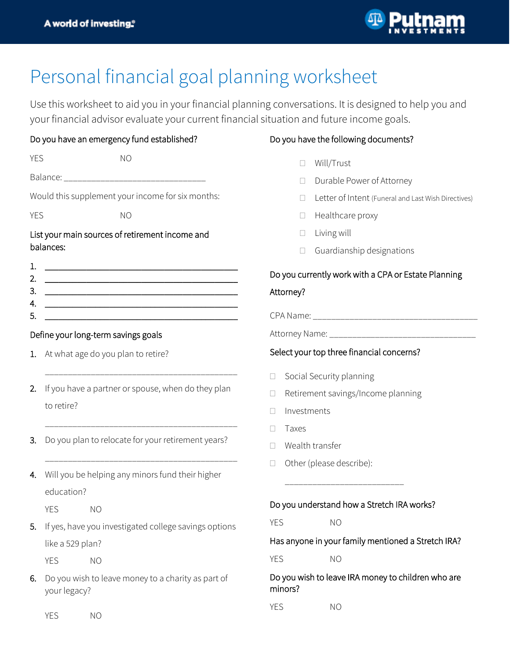

## Personal financial goal planning worksheet

Use this worksheet to aid you in your financial planning conversations. It is designed to help you and your financial advisor evaluate your current financial situation and future income goals.

| Do you have an emergency fund established? |                |
|--------------------------------------------|----------------|
| YES.                                       | N <sub>O</sub> |

| Balance: |  |  |
|----------|--|--|

Would this supplement your income for six months:

| M.<br>×<br>I<br>٧ |  |  |
|-------------------|--|--|
|-------------------|--|--|

| YES | NO |
|-----|----|
|     |    |

## List your main sources of retirement income and balances:

| 2. |  |
|----|--|
| З. |  |
|    |  |
| 5  |  |

## Define your long-term savings goals

- 1. At what age do you plan to retire?
- 2. If you have a partner or spouse, when do they plan to retire?

\_\_\_\_\_\_\_\_\_\_\_\_\_\_\_\_\_\_\_\_\_\_\_\_\_\_\_\_\_\_\_\_\_\_\_\_\_\_\_\_\_\_

\_\_\_\_\_\_\_\_\_\_\_\_\_\_\_\_\_\_\_\_\_\_\_\_\_\_\_\_\_\_\_\_\_\_\_\_\_\_\_\_\_\_

\_\_\_\_\_\_\_\_\_\_\_\_\_\_\_\_\_\_\_\_\_\_\_\_\_\_\_\_\_\_\_\_\_\_\_\_\_\_\_\_\_\_

- 3. Do you plan to relocate for your retirement years?
- 4. Will you be helping any minors fund their higher education?
	- YES NO
- 5. If yes, have you investigated college savings options like a 529 plan?
	- YES NO
- 6. Do you wish to leave money to a charity as part of your legacy?

YES NO

## Do you have the following documents?

- Will/Trust
- Durable Power of Attorney
- Letter of Intent (Funeral and Last Wish Directives)
- $\Box$  Healthcare proxy
- $\Box$  Living will
- $\Box$  Guardianship designations

## Do you currently work with a CPA or Estate Planning Attorney?

CPA Name:  $\Box$ 

Attorney Name: \_\_\_\_\_\_\_\_\_\_\_\_\_\_\_\_

### Select your top three financial concerns?

- $\Box$  Social Security planning
- □ Retirement savings/Income planning
- $\Box$  Investments
- $\Box$  Taxes
- Wealth transfer
- □ Other (please describe):

### Do you understand how a Stretch IRA works?

\_\_\_\_\_\_\_\_\_\_\_\_\_\_\_\_\_\_\_\_\_\_\_\_\_\_

YES NO

Has anyone in your family mentioned a Stretch IRA?

YES NO

Do you wish to leave IRA money to children who are minors?

YES NO